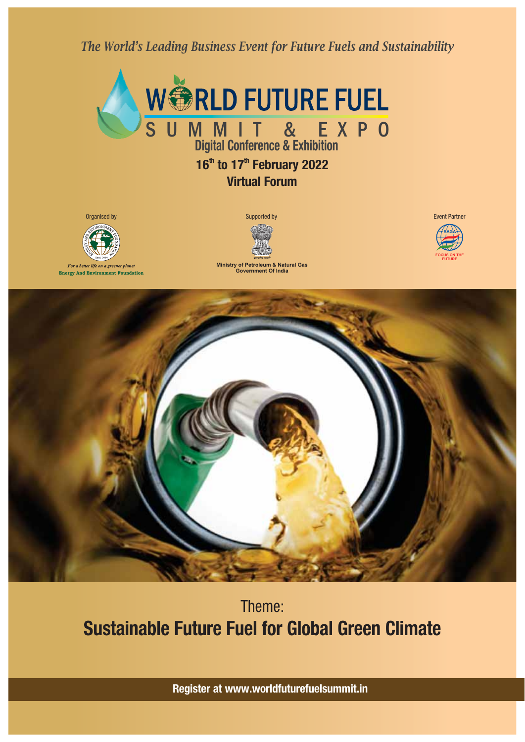*The World's Leading Business Event for Future Fuels and Sustainability*



# **1 to 17 February 2022 6 th th Virtual Forum**



**Energy And Environment Foundation**



**Ministry of Petroleum & Natural Gas Government Of India**





# Theme: **Sustainable Future Fuel for Global Green Climate**

**Register at www.worldfuturefuelsummit.in**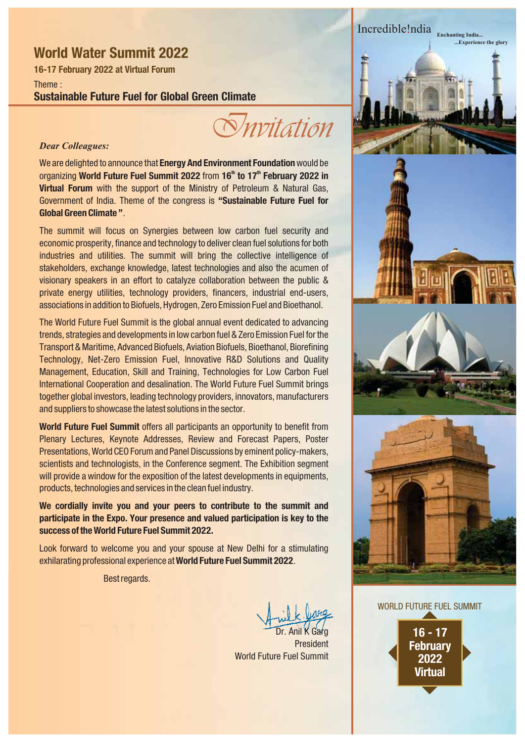### **World Water Summit 2022**

**16-17 February 2022 at Virtual Forum**

Theme : **Sustainable Future Fuel for Global Green Climate**

*Invitation*

#### *Dear Colleagues:*

We are delighted to announce that **Energy And Environment Foundation** would be organizing World Future Fuel Summit 2022 from 16<sup>th</sup> to 17<sup>th</sup> February 2022 in **Virtual Forum** with the support of the Ministry of Petroleum & Natural Gas, Government of India. Theme of the congress is **"Sustainable Future Fuel for Global Green Climate "**.

The summit will focus on Synergies between low carbon fuel security and economic prosperity, finance and technology to deliver clean fuel solutions for both industries and utilities. The summit will bring the collective intelligence of stakeholders, exchange knowledge, latest technologies and also the acumen of visionary speakers in an effort to catalyze collaboration between the public & private energy utilities, technology providers, financers, industrial end-users, associations in addition to Biofuels, Hydrogen, Zero Emission Fuel and Bioethanol.

The World Future Fuel Summit is the global annual event dedicated to advancing trends, strategies and developments in low carbon fuel & Zero Emission Fuel for the Transport & Maritime, Advanced Biofuels, Aviation Biofuels, Bioethanol, Biorefining Technology, Net-Zero Emission Fuel, Innovative R&D Solutions and Quality Management, Education, Skill and Training, Technologies for Low Carbon Fuel International Cooperation and desalination. The World Future Fuel Summit brings together global investors, leading technology providers, innovators, manufacturers and suppliers to showcase the latest solutions in the sector.

**World Future Fuel Summit** offers all participants an opportunity to benefit from Plenary Lectures, Keynote Addresses, Review and Forecast Papers, Poster Presentations, World CEO Forum and Panel Discussions by eminent policy-makers, scientists and technologists, in the Conference segment. The Exhibition segment will provide a window for the exposition of the latest developments in equipments, products, technologies and services in the clean fuel industry.

**We cordially invite you and your peers to contribute to the summit and participate in the Expo. Your presence and valued participation is key to the success of the World Future Fuel Summit 2022.**

Look forward to welcome you and your spouse at New Delhi for a stimulating exhilarating professional experience at World Future Fuel Summit 2022.

Best regards.

Dr. Anil K Garg **President** World Future Fuel Summit

Incredible!ndia Enchanting India... *Experience the glory* 



#### WORLD FUTURE FUEL SUMMIT

**16 - 17 February 2022 Virtual**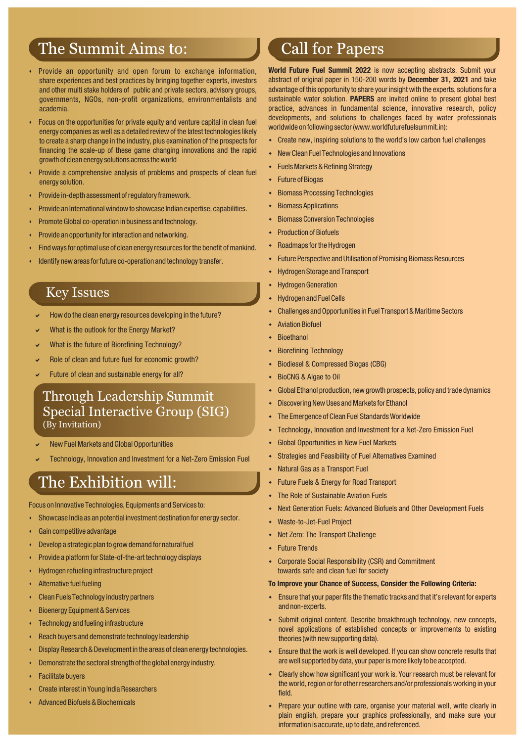# The Summit Aims to:

- - Provide an opportunity and open forum to exchange information, share experiences and best practices by bringing together experts, investors and other multi stake holders of public and private sectors, advisory groups, governments, NGOs, non-profit organizations, environmentalists and academia.
- - Focus on the opportunities for private equity and venture capital in clean fuel energy companies as well as a detailed review of the latest technologies likely to create a sharp change in the industry, plus examination of the prospects for financing the scale-up of these game changing innovations and the rapid growth of clean energy solutions across the world
- - Provide a comprehensive analysis of problems and prospects of clean fuel energy solution.
- -Provide in-depth assessment of regulatory framework.
- -Provide an International window to showcase Indian expertise, capabilities.
- -Promote Global co-operation in business and technology.
- -Provide an opportunity for interaction and networking.
- -Find ways for optimal use of clean energy resources for the benefit of mankind.
- -Identify new areas for future co-operation and technology transfer.

### Key Issues

- $\mathbf{v}$ How do the clean energy resources developing in the future?
- $\mathbf{v}$ What is the outlook for the Energy Market?
- $\mathbf{v}$ What is the future of Biorefining Technology?
- $\mathbf{v}$ Role of clean and future fuel for economic growth?
- $\mathbf{v}$ Future of clean and sustainable energy for all?

### Through Leadership Summit Special Interactive Group (SIG) (By Invitation)

- $\mathbf{v}$ New Fuel Markets and Global Opportunities
- $\mathbf{v}$ Technology, Innovation and Investment for a Net-Zero Emission Fuel

# The Exhibition will:

Focus on Innovative Technologies, Equipments and Services to:

- -Showcase India as an potential investment destination for energy sector.
- -Gain competitive advantage
- -Develop a strategic plan to grow demand for natural fuel
- -Provide a platform for State-of-the-art technology displays
- -Hydrogen refueling infrastructure project
- -Alternative fuel fueling
- -Clean Fuels Technology industry partners
- -Bioenergy Equipment & Services
- -Technology and fueling infrastructure
- -Reach buyers and demonstrate technology leadership
- -Display Research & Development in the areas of clean energy technologies.
- -Demonstrate the sectoral strength of the global energy industry.
- -Facilitate buyers
- -Create interest in Young India Researchers
- -Advanced Biofuels & Biochemicals

# **Call for Papers**

**World Future Fuel Summit 2022** is now accepting abstracts. Submit your abstract of original paper in 150-200 words by December 31, 2021 and take advantage of this opportunity to share your insight with the experts, solutions for a sustainable water solution. PAPERS are invited online to present global best practice, advances in fundamental science, innovative research, policy developments, and solutions to challenges faced by water professionals worldwide on following sector (www.worldfuturefuelsummit.in):

- Create new, inspiring solutions to the world's low carbon fuel challenges
- New Clean Fuel Technologies and Innovations
- Fuels Markets & Refining Strategy
- Future of Biogas
- **+** Biomass Processing Technologies
- Biomass Applications
- Biomass Conversion Technologies
- Production of Biofuels
- Roadmaps for the Hydrogen
- Future Perspective and Utilisation of Promising Biomass Resources
- Hydrogen Storage and Transport
- Hydrogen Generation
- Hydrogen and Fuel Cells
- Challenges and Opportunities in Fuel Transport & Maritime Sectors
- Aviation Biofuel
- **Bioethanol**
- Biorefining Technology
- Biodiesel & Compressed Biogas (CBG)
- BioCNG & Algae to Oil
- Global Ethanol production, new growth prospects, policy and trade dynamics
- Discovering New Uses and Markets for Ethanol
- The Emergence of Clean Fuel Standards Worldwide
- Technology, Innovation and Investment for a Net-Zero Emission Fuel
- Global Opportunities in New Fuel Markets
- Strategies and Feasibility of Fuel Alternatives Examined
- Natural Gas as a Transport Fuel
- Future Fuels & Energy for Road Transport
- The Role of Sustainable Aviation Fuels
- Next Generation Fuels: Advanced Biofuels and Other Development Fuels
- Waste-to-Jet-Fuel Project
- Net Zero: The Transport Challenge
- Future Trends
- Corporate Social Responsibility (CSR) and Commitment towards safe and clean fuel for society

#### **To Improve your Chance of Success, Consider the Following Criteria:**

- Ensure that your paper fits the thematic tracks and that it's relevant for experts and non-experts.
- Submit original content. Describe breakthrough technology, new concepts, novel applications of established concepts or improvements to existing theories (with new supporting data).
- Ensure that the work is well developed. If you can show concrete results that are well supported by data, your paper is more likely to be accepted.
- Clearly show how significant your work is. Your research must be relevant for the world, region or for other researchers and/or professionals working in your field.
- Prepare your outline with care, organise your material well, write clearly in plain english, prepare your graphics professionally, and make sure your information is accurate, up to date, and referenced.